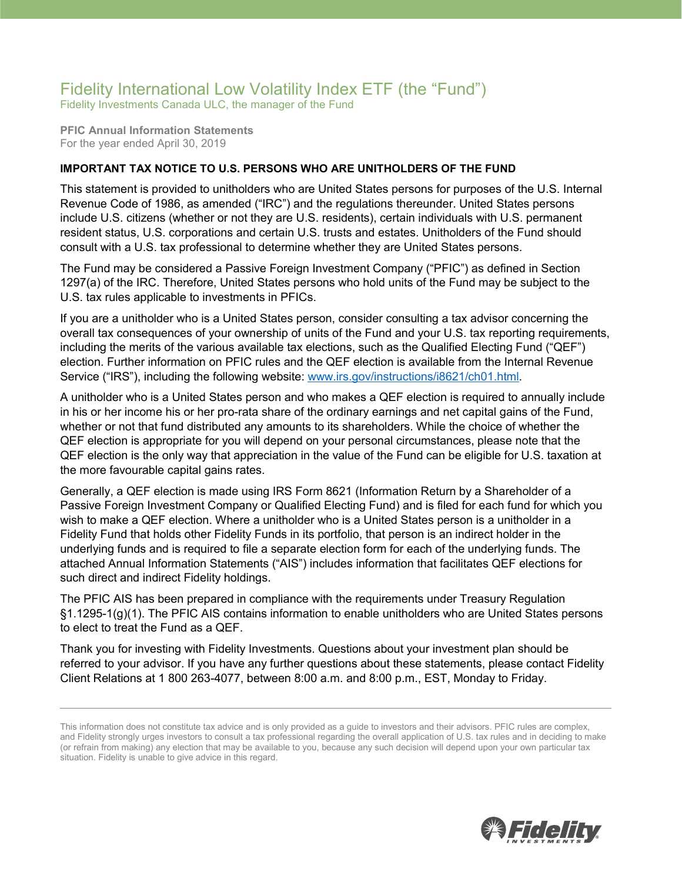## Fidelity International Low Volatility Index ETF (the "Fund")

Fidelity Investments Canada ULC, the manager of the Fund

**PFIC Annual Information Statements** For the year ended April 30, 2019

## **IMPORTANT TAX NOTICE TO U.S. PERSONS WHO ARE UNITHOLDERS OF THE FUND**

This statement is provided to unitholders who are United States persons for purposes of the U.S. Internal Revenue Code of 1986, as amended ("IRC") and the regulations thereunder. United States persons include U.S. citizens (whether or not they are U.S. residents), certain individuals with U.S. permanent resident status, U.S. corporations and certain U.S. trusts and estates. Unitholders of the Fund should consult with a U.S. tax professional to determine whether they are United States persons.

The Fund may be considered a Passive Foreign Investment Company ("PFIC") as defined in Section 1297(a) of the IRC. Therefore, United States persons who hold units of the Fund may be subject to the U.S. tax rules applicable to investments in PFICs.

If you are a unitholder who is a United States person, consider consulting a tax advisor concerning the overall tax consequences of your ownership of units of the Fund and your U.S. tax reporting requirements, including the merits of the various available tax elections, such as the Qualified Electing Fund ("QEF") election. Further information on PFIC rules and the QEF election is available from the Internal Revenue Service ("IRS"), including the following website: [www.irs.gov/instructions/i8621/ch01.html.](http://www.irs.gov/instructions/i8621/ch01.html)

A unitholder who is a United States person and who makes a QEF election is required to annually include in his or her income his or her pro-rata share of the ordinary earnings and net capital gains of the Fund, whether or not that fund distributed any amounts to its shareholders. While the choice of whether the QEF election is appropriate for you will depend on your personal circumstances, please note that the QEF election is the only way that appreciation in the value of the Fund can be eligible for U.S. taxation at the more favourable capital gains rates.

Generally, a QEF election is made using IRS Form 8621 (Information Return by a Shareholder of a Passive Foreign Investment Company or Qualified Electing Fund) and is filed for each fund for which you wish to make a QEF election. Where a unitholder who is a United States person is a unitholder in a Fidelity Fund that holds other Fidelity Funds in its portfolio, that person is an indirect holder in the underlying funds and is required to file a separate election form for each of the underlying funds. The attached Annual Information Statements ("AIS") includes information that facilitates QEF elections for such direct and indirect Fidelity holdings.

The PFIC AIS has been prepared in compliance with the requirements under Treasury Regulation §1.1295-1(g)(1). The PFIC AIS contains information to enable unitholders who are United States persons to elect to treat the Fund as a QEF.

Thank you for investing with Fidelity Investments. Questions about your investment plan should be referred to your advisor. If you have any further questions about these statements, please contact Fidelity Client Relations at 1 800 263-4077, between 8:00 a.m. and 8:00 p.m., EST, Monday to Friday.



This information does not constitute tax advice and is only provided as a guide to investors and their advisors. PFIC rules are complex, and Fidelity strongly urges investors to consult a tax professional regarding the overall application of U.S. tax rules and in deciding to make (or refrain from making) any election that may be available to you, because any such decision will depend upon your own particular tax situation. Fidelity is unable to give advice in this regard.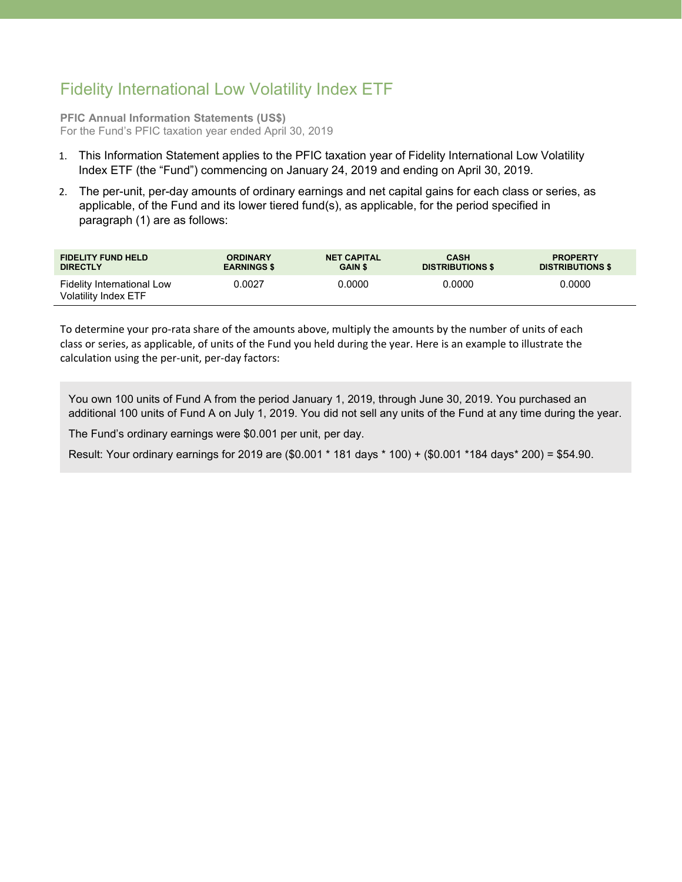## Fidelity International Low Volatility Index ETF

**PFIC Annual Information Statements (US\$)** For the Fund's PFIC taxation year ended April 30, 2019

- 1. This Information Statement applies to the PFIC taxation year of Fidelity International Low Volatility Index ETF (the "Fund") commencing on January 24, 2019 and ending on April 30, 2019.
- 2. The per-unit, per-day amounts of ordinary earnings and net capital gains for each class or series, as applicable, of the Fund and its lower tiered fund(s), as applicable, for the period specified in paragraph (1) are as follows:

| <b>FIDELITY FUND HELD</b>                          | <b>ORDINARY</b>    | <b>NET CAPITAL</b> | <b>CASH</b>             | <b>PROPERTY</b>         |
|----------------------------------------------------|--------------------|--------------------|-------------------------|-------------------------|
| <b>DIRECTLY</b>                                    | <b>EARNINGS \$</b> | <b>GAIN \$</b>     | <b>DISTRIBUTIONS \$</b> | <b>DISTRIBUTIONS \$</b> |
| Fidelity International Low<br>Volatility Index ETF | 0.0027             | 0.0000             | 0.0000                  | 0.0000                  |

To determine your pro-rata share of the amounts above, multiply the amounts by the number of units of each class or series, as applicable, of units of the Fund you held during the year. Here is an example to illustrate the calculation using the per-unit, per-day factors:

You own 100 units of Fund A from the period January 1, 2019, through June 30, 2019. You purchased an additional 100 units of Fund A on July 1, 2019. You did not sell any units of the Fund at any time during the year.

The Fund's ordinary earnings were \$0.001 per unit, per day.

Result: Your ordinary earnings for 2019 are (\$0.001 \* 181 days \* 100) + (\$0.001 \*184 days\* 200) = \$54.90.